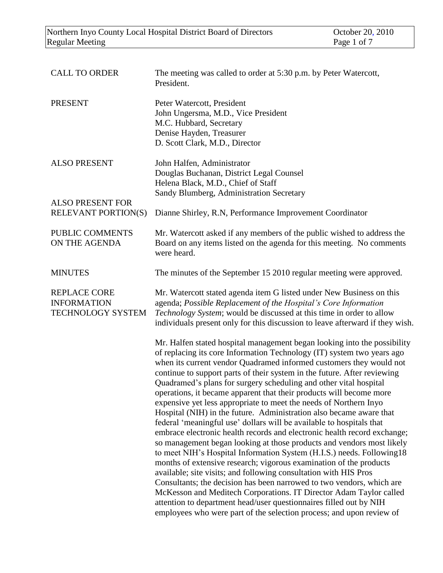| <b>CALL TO ORDER</b>                                                  | The meeting was called to order at 5:30 p.m. by Peter Watercott,<br>President.                                                                                                                                                                                                                                                                                                                                                                                                                                                                                                                                                                                                                                                                                                                                                                                                                                                                                                                                                                                                                                                                                                                                                                                                                                                             |
|-----------------------------------------------------------------------|--------------------------------------------------------------------------------------------------------------------------------------------------------------------------------------------------------------------------------------------------------------------------------------------------------------------------------------------------------------------------------------------------------------------------------------------------------------------------------------------------------------------------------------------------------------------------------------------------------------------------------------------------------------------------------------------------------------------------------------------------------------------------------------------------------------------------------------------------------------------------------------------------------------------------------------------------------------------------------------------------------------------------------------------------------------------------------------------------------------------------------------------------------------------------------------------------------------------------------------------------------------------------------------------------------------------------------------------|
| <b>PRESENT</b>                                                        | Peter Watercott, President<br>John Ungersma, M.D., Vice President<br>M.C. Hubbard, Secretary<br>Denise Hayden, Treasurer<br>D. Scott Clark, M.D., Director                                                                                                                                                                                                                                                                                                                                                                                                                                                                                                                                                                                                                                                                                                                                                                                                                                                                                                                                                                                                                                                                                                                                                                                 |
| <b>ALSO PRESENT</b>                                                   | John Halfen, Administrator<br>Douglas Buchanan, District Legal Counsel<br>Helena Black, M.D., Chief of Staff<br>Sandy Blumberg, Administration Secretary                                                                                                                                                                                                                                                                                                                                                                                                                                                                                                                                                                                                                                                                                                                                                                                                                                                                                                                                                                                                                                                                                                                                                                                   |
| <b>ALSO PRESENT FOR</b><br><b>RELEVANT PORTION(S)</b>                 | Dianne Shirley, R.N, Performance Improvement Coordinator                                                                                                                                                                                                                                                                                                                                                                                                                                                                                                                                                                                                                                                                                                                                                                                                                                                                                                                                                                                                                                                                                                                                                                                                                                                                                   |
| PUBLIC COMMENTS<br>ON THE AGENDA                                      | Mr. Watercott asked if any members of the public wished to address the<br>Board on any items listed on the agenda for this meeting. No comments<br>were heard.                                                                                                                                                                                                                                                                                                                                                                                                                                                                                                                                                                                                                                                                                                                                                                                                                                                                                                                                                                                                                                                                                                                                                                             |
| <b>MINUTES</b>                                                        | The minutes of the September 15 2010 regular meeting were approved.                                                                                                                                                                                                                                                                                                                                                                                                                                                                                                                                                                                                                                                                                                                                                                                                                                                                                                                                                                                                                                                                                                                                                                                                                                                                        |
| <b>REPLACE CORE</b><br><b>INFORMATION</b><br><b>TECHNOLOGY SYSTEM</b> | Mr. Watercott stated agenda item G listed under New Business on this<br>agenda; Possible Replacement of the Hospital's Core Information<br>Technology System; would be discussed at this time in order to allow<br>individuals present only for this discussion to leave afterward if they wish.                                                                                                                                                                                                                                                                                                                                                                                                                                                                                                                                                                                                                                                                                                                                                                                                                                                                                                                                                                                                                                           |
|                                                                       | Mr. Halfen stated hospital management began looking into the possibility<br>of replacing its core Information Technology (IT) system two years ago<br>when its current vendor Quadramed informed customers they would not<br>continue to support parts of their system in the future. After reviewing<br>Quadramed's plans for surgery scheduling and other vital hospital<br>operations, it became apparent that their products will become more<br>expensive yet less appropriate to meet the needs of Northern Inyo<br>Hospital (NIH) in the future. Administration also became aware that<br>federal 'meaningful use' dollars will be available to hospitals that<br>embrace electronic health records and electronic health record exchange;<br>so management began looking at those products and vendors most likely<br>to meet NIH's Hospital Information System (H.I.S.) needs. Following18<br>months of extensive research; vigorous examination of the products<br>available; site visits; and following consultation with HIS Pros<br>Consultants; the decision has been narrowed to two vendors, which are<br>McKesson and Meditech Corporations. IT Director Adam Taylor called<br>attention to department head/user questionnaires filled out by NIH<br>employees who were part of the selection process; and upon review of |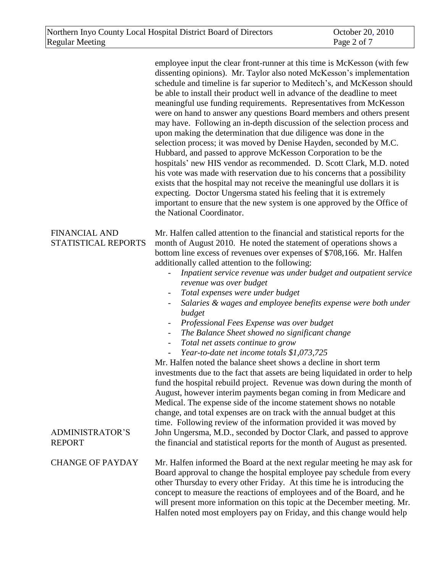|                                             | employee input the clear front-runner at this time is McKesson (with few<br>dissenting opinions). Mr. Taylor also noted McKesson's implementation<br>schedule and timeline is far superior to Meditech's, and McKesson should<br>be able to install their product well in advance of the deadline to meet<br>meaningful use funding requirements. Representatives from McKesson<br>were on hand to answer any questions Board members and others present<br>may have. Following an in-depth discussion of the selection process and<br>upon making the determination that due diligence was done in the<br>selection process; it was moved by Denise Hayden, seconded by M.C.<br>Hubbard, and passed to approve McKesson Corporation to be the<br>hospitals' new HIS vendor as recommended. D. Scott Clark, M.D. noted<br>his vote was made with reservation due to his concerns that a possibility<br>exists that the hospital may not receive the meaningful use dollars it is<br>expecting. Doctor Ungersma stated his feeling that it is extremely<br>important to ensure that the new system is one approved by the Office of<br>the National Coordinator.                                                                                  |
|---------------------------------------------|--------------------------------------------------------------------------------------------------------------------------------------------------------------------------------------------------------------------------------------------------------------------------------------------------------------------------------------------------------------------------------------------------------------------------------------------------------------------------------------------------------------------------------------------------------------------------------------------------------------------------------------------------------------------------------------------------------------------------------------------------------------------------------------------------------------------------------------------------------------------------------------------------------------------------------------------------------------------------------------------------------------------------------------------------------------------------------------------------------------------------------------------------------------------------------------------------------------------------------------------------|
| <b>FINANCIAL AND</b><br>STATISTICAL REPORTS | Mr. Halfen called attention to the financial and statistical reports for the<br>month of August 2010. He noted the statement of operations shows a<br>bottom line excess of revenues over expenses of \$708,166. Mr. Halfen<br>additionally called attention to the following:<br>Inpatient service revenue was under budget and outpatient service<br>revenue was over budget<br>Total expenses were under budget<br>Salaries & wages and employee benefits expense were both under<br>budget<br>Professional Fees Expense was over budget<br>The Balance Sheet showed no significant change<br>$\blacksquare$<br>Total net assets continue to grow<br>$\blacksquare$<br>Year-to-date net income totals \$1,073,725<br>Mr. Halfen noted the balance sheet shows a decline in short term<br>investments due to the fact that assets are being liquidated in order to help<br>fund the hospital rebuild project. Revenue was down during the month of<br>August, however interim payments began coming in from Medicare and<br>Medical. The expense side of the income statement shows no notable<br>change, and total expenses are on track with the annual budget at this<br>time. Following review of the information provided it was moved by |
| <b>ADMINISTRATOR'S</b><br><b>REPORT</b>     | John Ungersma, M.D., seconded by Doctor Clark, and passed to approve<br>the financial and statistical reports for the month of August as presented.                                                                                                                                                                                                                                                                                                                                                                                                                                                                                                                                                                                                                                                                                                                                                                                                                                                                                                                                                                                                                                                                                              |
| <b>CHANGE OF PAYDAY</b>                     | Mr. Halfen informed the Board at the next regular meeting he may ask for<br>Board approval to change the hospital employee pay schedule from every<br>other Thursday to every other Friday. At this time he is introducing the<br>concept to measure the reactions of employees and of the Board, and he<br>will present more information on this topic at the December meeting. Mr.<br>Halfen noted most employers pay on Friday, and this change would help                                                                                                                                                                                                                                                                                                                                                                                                                                                                                                                                                                                                                                                                                                                                                                                    |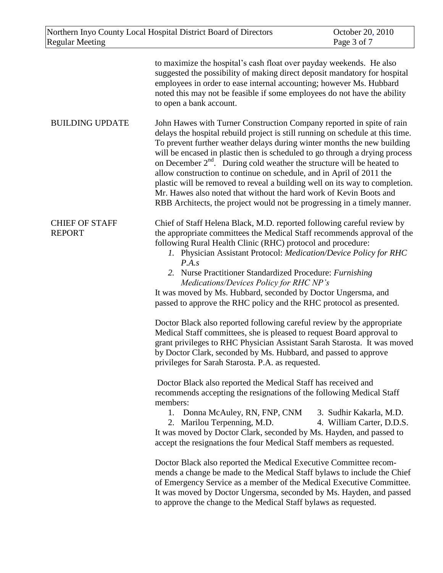| Northern Inyo County Local Hospital District Board of Directors<br><b>Regular Meeting</b> |                                                                                                                                                                                                                                                                                                                                                                                                                                                                                                                                                                                                                                                                                                                                                                                                                                                                                                      | October 20, 2010<br>Page 3 of 7                      |
|-------------------------------------------------------------------------------------------|------------------------------------------------------------------------------------------------------------------------------------------------------------------------------------------------------------------------------------------------------------------------------------------------------------------------------------------------------------------------------------------------------------------------------------------------------------------------------------------------------------------------------------------------------------------------------------------------------------------------------------------------------------------------------------------------------------------------------------------------------------------------------------------------------------------------------------------------------------------------------------------------------|------------------------------------------------------|
|                                                                                           | to maximize the hospital's cash float over payday weekends. He also<br>suggested the possibility of making direct deposit mandatory for hospital<br>employees in order to ease internal accounting; however Ms. Hubbard<br>noted this may not be feasible if some employees do not have the ability<br>to open a bank account.                                                                                                                                                                                                                                                                                                                                                                                                                                                                                                                                                                       |                                                      |
| <b>BUILDING UPDATE</b>                                                                    | John Hawes with Turner Construction Company reported in spite of rain<br>delays the hospital rebuild project is still running on schedule at this time.<br>To prevent further weather delays during winter months the new building<br>will be encased in plastic then is scheduled to go through a drying process<br>on December $2nd$ . During cold weather the structure will be heated to<br>allow construction to continue on schedule, and in April of 2011 the<br>plastic will be removed to reveal a building well on its way to completion.<br>Mr. Hawes also noted that without the hard work of Kevin Boots and<br>RBB Architects, the project would not be progressing in a timely manner.                                                                                                                                                                                                |                                                      |
| <b>CHIEF OF STAFF</b><br><b>REPORT</b>                                                    | Chief of Staff Helena Black, M.D. reported following careful review by<br>the appropriate committees the Medical Staff recommends approval of the<br>following Rural Health Clinic (RHC) protocol and procedure:<br>1. Physician Assistant Protocol: Medication/Device Policy for RHC<br>P.A.s<br>2. Nurse Practitioner Standardized Procedure: Furnishing<br>Medications/Devices Policy for RHC NP's<br>It was moved by Ms. Hubbard, seconded by Doctor Ungersma, and<br>passed to approve the RHC policy and the RHC protocol as presented.<br>Doctor Black also reported following careful review by the appropriate<br>Medical Staff committees, she is pleased to request Board approval to<br>grant privileges to RHC Physician Assistant Sarah Starosta. It was moved<br>by Doctor Clark, seconded by Ms. Hubbard, and passed to approve<br>privileges for Sarah Starosta. P.A. as requested. |                                                      |
|                                                                                           | Doctor Black also reported the Medical Staff has received and<br>recommends accepting the resignations of the following Medical Staff<br>members:<br>1. Donna McAuley, RN, FNP, CNM<br>2. Marilou Terpenning, M.D.<br>It was moved by Doctor Clark, seconded by Ms. Hayden, and passed to<br>accept the resignations the four Medical Staff members as requested.<br>Doctor Black also reported the Medical Executive Committee recom-<br>mends a change be made to the Medical Staff bylaws to include the Chief<br>of Emergency Service as a member of the Medical Executive Committee.<br>It was moved by Doctor Ungersma, seconded by Ms. Hayden, and passed<br>to approve the change to the Medical Staff bylaws as requested.                                                                                                                                                                  | 3. Sudhir Kakarla, M.D.<br>4. William Carter, D.D.S. |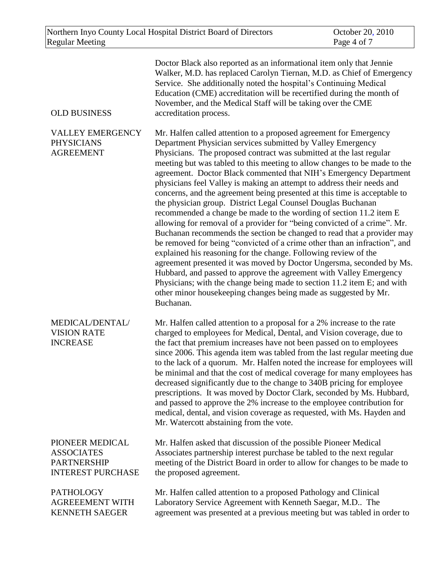| <b>OLD BUSINESS</b>                                                                    | Doctor Black also reported as an informational item only that Jennie<br>Walker, M.D. has replaced Carolyn Tiernan, M.D. as Chief of Emergency<br>Service. She additionally noted the hospital's Continuing Medical<br>Education (CME) accreditation will be recertified during the month of<br>November, and the Medical Staff will be taking over the CME<br>accreditation process.                                                                                                                                                                                                                                                                                                                                                                                                                                                                                                                                                                                                                                                                                                                                                                                                                                                                                  |
|----------------------------------------------------------------------------------------|-----------------------------------------------------------------------------------------------------------------------------------------------------------------------------------------------------------------------------------------------------------------------------------------------------------------------------------------------------------------------------------------------------------------------------------------------------------------------------------------------------------------------------------------------------------------------------------------------------------------------------------------------------------------------------------------------------------------------------------------------------------------------------------------------------------------------------------------------------------------------------------------------------------------------------------------------------------------------------------------------------------------------------------------------------------------------------------------------------------------------------------------------------------------------------------------------------------------------------------------------------------------------|
| <b>VALLEY EMERGENCY</b><br><b>PHYSICIANS</b><br><b>AGREEMENT</b>                       | Mr. Halfen called attention to a proposed agreement for Emergency<br>Department Physician services submitted by Valley Emergency<br>Physicians. The proposed contract was submitted at the last regular<br>meeting but was tabled to this meeting to allow changes to be made to the<br>agreement. Doctor Black commented that NIH's Emergency Department<br>physicians feel Valley is making an attempt to address their needs and<br>concerns, and the agreement being presented at this time is acceptable to<br>the physician group. District Legal Counsel Douglas Buchanan<br>recommended a change be made to the wording of section 11.2 item E<br>allowing for removal of a provider for "being convicted of a crime". Mr.<br>Buchanan recommends the section be changed to read that a provider may<br>be removed for being "convicted of a crime other than an infraction", and<br>explained his reasoning for the change. Following review of the<br>agreement presented it was moved by Doctor Ungersma, seconded by Ms.<br>Hubbard, and passed to approve the agreement with Valley Emergency<br>Physicians; with the change being made to section 11.2 item E; and with<br>other minor housekeeping changes being made as suggested by Mr.<br>Buchanan. |
| MEDICAL/DENTAL/<br><b>VISION RATE</b><br><b>INCREASE</b>                               | Mr. Halfen called attention to a proposal for a 2% increase to the rate<br>charged to employees for Medical, Dental, and Vision coverage, due to<br>the fact that premium increases have not been passed on to employees<br>since 2006. This agenda item was tabled from the last regular meeting due<br>to the lack of a quorum. Mr. Halfen noted the increase for employees will<br>be minimal and that the cost of medical coverage for many employees has<br>decreased significantly due to the change to 340B pricing for employee<br>prescriptions. It was moved by Doctor Clark, seconded by Ms. Hubbard,<br>and passed to approve the 2% increase to the employee contribution for<br>medical, dental, and vision coverage as requested, with Ms. Hayden and<br>Mr. Watercott abstaining from the vote.                                                                                                                                                                                                                                                                                                                                                                                                                                                       |
| PIONEER MEDICAL<br><b>ASSOCIATES</b><br><b>PARTNERSHIP</b><br><b>INTEREST PURCHASE</b> | Mr. Halfen asked that discussion of the possible Pioneer Medical<br>Associates partnership interest purchase be tabled to the next regular<br>meeting of the District Board in order to allow for changes to be made to<br>the proposed agreement.                                                                                                                                                                                                                                                                                                                                                                                                                                                                                                                                                                                                                                                                                                                                                                                                                                                                                                                                                                                                                    |
| <b>PATHOLOGY</b><br><b>AGREEEMENT WITH</b><br><b>KENNETH SAEGER</b>                    | Mr. Halfen called attention to a proposed Pathology and Clinical<br>Laboratory Service Agreement with Kenneth Saegar, M.D The<br>agreement was presented at a previous meeting but was tabled in order to                                                                                                                                                                                                                                                                                                                                                                                                                                                                                                                                                                                                                                                                                                                                                                                                                                                                                                                                                                                                                                                             |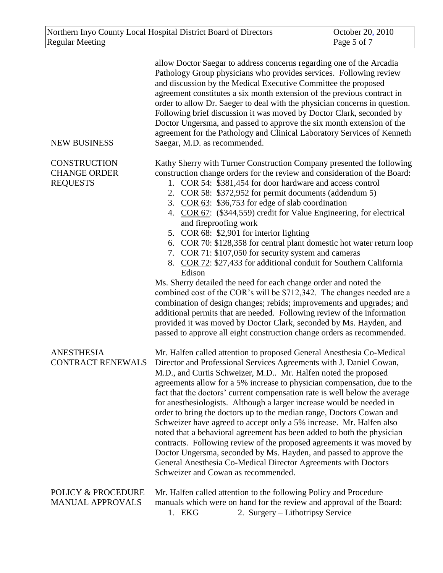| <b>NEW BUSINESS</b>                                           | allow Doctor Saegar to address concerns regarding one of the Arcadia<br>Pathology Group physicians who provides services. Following review<br>and discussion by the Medical Executive Committee the proposed<br>agreement constitutes a six month extension of the previous contract in<br>order to allow Dr. Saeger to deal with the physician concerns in question.<br>Following brief discussion it was moved by Doctor Clark, seconded by<br>Doctor Ungersma, and passed to approve the six month extension of the<br>agreement for the Pathology and Clinical Laboratory Services of Kenneth<br>Saegar, M.D. as recommended.                                                                                                                                                                                                                                                                                                                                                                                                                                                                                                             |
|---------------------------------------------------------------|-----------------------------------------------------------------------------------------------------------------------------------------------------------------------------------------------------------------------------------------------------------------------------------------------------------------------------------------------------------------------------------------------------------------------------------------------------------------------------------------------------------------------------------------------------------------------------------------------------------------------------------------------------------------------------------------------------------------------------------------------------------------------------------------------------------------------------------------------------------------------------------------------------------------------------------------------------------------------------------------------------------------------------------------------------------------------------------------------------------------------------------------------|
| <b>CONSTRUCTION</b><br><b>CHANGE ORDER</b><br><b>REQUESTS</b> | Kathy Sherry with Turner Construction Company presented the following<br>construction change orders for the review and consideration of the Board:<br>1. COR 54: \$381,454 for door hardware and access control<br>2. COR 58: \$372,952 for permit documents (addendum 5)<br>3. COR 63: \$36,753 for edge of slab coordination<br>4. COR 67: (\$344,559) credit for Value Engineering, for electrical<br>and fireproofing work<br>5. COR 68: \$2,901 for interior lighting<br>6. COR 70: \$128,358 for central plant domestic hot water return loop<br>7. COR 71: \$107,050 for security system and cameras<br>8. COR 72: \$27,433 for additional conduit for Southern California<br>Edison<br>Ms. Sherry detailed the need for each change order and noted the<br>combined cost of the COR's will be \$712,342. The changes needed are a<br>combination of design changes; rebids; improvements and upgrades; and<br>additional permits that are needed. Following review of the information<br>provided it was moved by Doctor Clark, seconded by Ms. Hayden, and<br>passed to approve all eight construction change orders as recommended. |
| <b>ANESTHESIA</b><br><b>CONTRACT RENEWALS</b>                 | Mr. Halfen called attention to proposed General Anesthesia Co-Medical<br>Director and Professional Services Agreements with J. Daniel Cowan,<br>M.D., and Curtis Schweizer, M.D Mr. Halfen noted the proposed<br>agreements allow for a 5% increase to physician compensation, due to the<br>fact that the doctors' current compensation rate is well below the average<br>for anesthesiologists. Although a larger increase would be needed in<br>order to bring the doctors up to the median range, Doctors Cowan and<br>Schweizer have agreed to accept only a 5% increase. Mr. Halfen also<br>noted that a behavioral agreement has been added to both the physician<br>contracts. Following review of the proposed agreements it was moved by<br>Doctor Ungersma, seconded by Ms. Hayden, and passed to approve the<br>General Anesthesia Co-Medical Director Agreements with Doctors<br>Schweizer and Cowan as recommended.                                                                                                                                                                                                             |
| <b>POLICY &amp; PROCEDURE</b><br><b>MANUAL APPROVALS</b>      | Mr. Halfen called attention to the following Policy and Procedure<br>manuals which were on hand for the review and approval of the Board:<br>2. Surgery – Lithotripsy Service<br>1. EKG                                                                                                                                                                                                                                                                                                                                                                                                                                                                                                                                                                                                                                                                                                                                                                                                                                                                                                                                                       |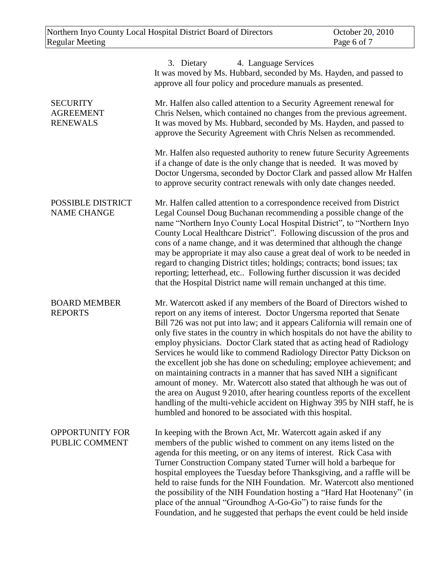|                                                        | 3. Dietary<br>4. Language Services<br>It was moved by Ms. Hubbard, seconded by Ms. Hayden, and passed to<br>approve all four policy and procedure manuals as presented.                                                                                                                                                                                                                                                                                                                                                                                                                                                                                                                                                                                                                                                                                                                                                   |
|--------------------------------------------------------|---------------------------------------------------------------------------------------------------------------------------------------------------------------------------------------------------------------------------------------------------------------------------------------------------------------------------------------------------------------------------------------------------------------------------------------------------------------------------------------------------------------------------------------------------------------------------------------------------------------------------------------------------------------------------------------------------------------------------------------------------------------------------------------------------------------------------------------------------------------------------------------------------------------------------|
| <b>SECURITY</b><br><b>AGREEMENT</b><br><b>RENEWALS</b> | Mr. Halfen also called attention to a Security Agreement renewal for<br>Chris Nelsen, which contained no changes from the previous agreement.<br>It was moved by Ms. Hubbard, seconded by Ms. Hayden, and passed to<br>approve the Security Agreement with Chris Nelsen as recommended.                                                                                                                                                                                                                                                                                                                                                                                                                                                                                                                                                                                                                                   |
|                                                        | Mr. Halfen also requested authority to renew future Security Agreements<br>if a change of date is the only change that is needed. It was moved by<br>Doctor Ungersma, seconded by Doctor Clark and passed allow Mr Halfen<br>to approve security contract renewals with only date changes needed.                                                                                                                                                                                                                                                                                                                                                                                                                                                                                                                                                                                                                         |
| POSSIBLE DISTRICT<br><b>NAME CHANGE</b>                | Mr. Halfen called attention to a correspondence received from District<br>Legal Counsel Doug Buchanan recommending a possible change of the<br>name "Northern Inyo County Local Hospital District", to "Northern Inyo<br>County Local Healthcare District". Following discussion of the pros and<br>cons of a name change, and it was determined that although the change<br>may be appropriate it may also cause a great deal of work to be needed in<br>regard to changing District titles; holdings; contracts; bond issues; tax<br>reporting; letterhead, etc Following further discussion it was decided<br>that the Hospital District name will remain unchanged at this time.                                                                                                                                                                                                                                      |
| <b>BOARD MEMBER</b><br><b>REPORTS</b>                  | Mr. Watercott asked if any members of the Board of Directors wished to<br>report on any items of interest. Doctor Ungersma reported that Senate<br>Bill 726 was not put into law; and it appears California will remain one of<br>only five states in the country in which hospitals do not have the ability to<br>employ physicians. Doctor Clark stated that as acting head of Radiology<br>Services he would like to commend Radiology Director Patty Dickson on<br>the excellent job she has done on scheduling; employee achievement; and<br>on maintaining contracts in a manner that has saved NIH a significant<br>amount of money. Mr. Watercott also stated that although he was out of<br>the area on August 9 2010, after hearing countless reports of the excellent<br>handling of the multi-vehicle accident on Highway 395 by NIH staff, he is<br>humbled and honored to be associated with this hospital. |
| <b>OPPORTUNITY FOR</b><br>PUBLIC COMMENT               | In keeping with the Brown Act, Mr. Watercott again asked if any<br>members of the public wished to comment on any items listed on the<br>agenda for this meeting, or on any items of interest. Rick Casa with<br>Turner Construction Company stated Turner will hold a barbeque for<br>hospital employees the Tuesday before Thanksgiving, and a raffle will be<br>held to raise funds for the NIH Foundation. Mr. Watercott also mentioned<br>the possibility of the NIH Foundation hosting a "Hard Hat Hootenany" (in<br>place of the annual "Groundhog A-Go-Go") to raise funds for the<br>Foundation, and he suggested that perhaps the event could be held inside                                                                                                                                                                                                                                                    |